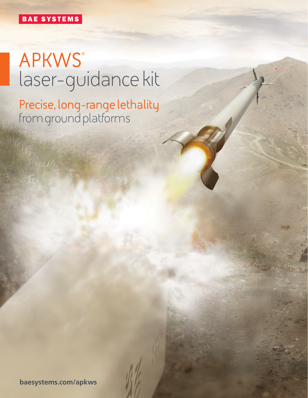**BAE SYSTEMS** 

# **APKWS**® laser-guidance kit

**Precise, long-range lethality** from ground platforms

**baesystems.com/apkws**